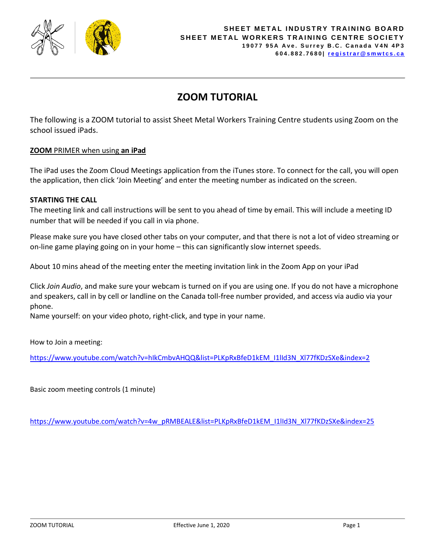

# **ZOOM TUTORIAL**

The following is a ZOOM tutorial to assist Sheet Metal Workers Training Centre students using Zoom on the school issued iPads.

# **ZOOM** PRIMER when using **an iPad**

The iPad uses the Zoom Cloud Meetings application from the iTunes store. To connect for the call, you will open the application, then click 'Join Meeting' and enter the meeting number as indicated on the screen.

# **STARTING THE CALL**

The meeting link and call instructions will be sent to you ahead of time by email. This will include a meeting ID number that will be needed if you call in via phone.

Please make sure you have closed other tabs on your computer, and that there is not a lot of video streaming or on-line game playing going on in your home – this can significantly slow internet speeds.

About 10 mins ahead of the meeting enter the meeting invitation link in the Zoom App on your iPad

Click *Join Audio*, and make sure your webcam is turned on if you are using one. If you do not have a microphone and speakers, call in by cell or landline on the Canada toll-free number provided, and access via audio via your phone.

Name yourself: on your video photo, right-click, and type in your name.

How to Join a meeting:

[https://www.youtube.com/watch?v=hIkCmbvAHQQ&list=PLKpRxBfeD1kEM\\_I1lId3N\\_Xl77fKDzSXe&index=2](https://www.youtube.com/watch?v=hIkCmbvAHQQ&list=PLKpRxBfeD1kEM_I1lId3N_Xl77fKDzSXe&index=2)

Basic zoom meeting controls (1 minute)

[https://www.youtube.com/watch?v=4w\\_pRMBEALE&list=PLKpRxBfeD1kEM\\_I1lId3N\\_Xl77fKDzSXe&index=25](https://www.youtube.com/watch?v=4w_pRMBEALE&list=PLKpRxBfeD1kEM_I1lId3N_Xl77fKDzSXe&index=25)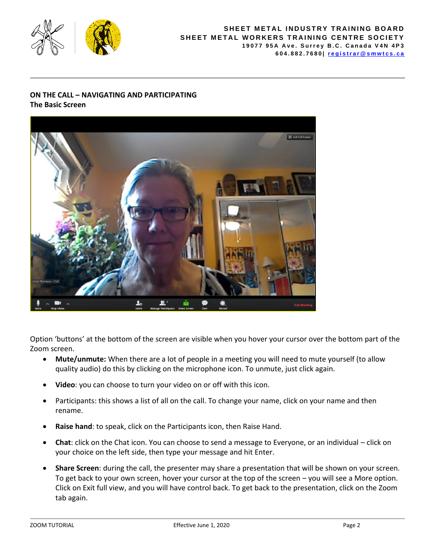

#### **SHEET METAL INDUSTRY TRAINING BOARD SHEET METAL WORKERS TRAINING CENTRE SOCIETY 1 9 0 7 7 9 5 A A v e . S u r r e y B . C . C a n a d a V 4 N 4 P 3 6 0 4 . 8 8 2 . 7 6 8 0 | [r e g i s t r a r @ s m w t c s . c a](mailto:registrar@smwtcs.ca)**

# **ON THE CALL – NAVIGATING AND PARTICIPATING The Basic Screen**



Option 'buttons' at the bottom of the screen are visible when you hover your cursor over the bottom part of the Zoom screen.

- **Mute/unmute:** When there are a lot of people in a meeting you will need to mute yourself (to allow quality audio) do this by clicking on the microphone icon. To unmute, just click again.
- **Video**: you can choose to turn your video on or off with this icon.
- Participants: this shows a list of all on the call. To change your name, click on your name and then rename.
- **Raise hand**: to speak, click on the Participants icon, then Raise Hand.
- **Chat**: click on the Chat icon. You can choose to send a message to Everyone, or an individual click on your choice on the left side, then type your message and hit Enter.
- **Share Screen**: during the call, the presenter may share a presentation that will be shown on your screen. To get back to your own screen, hover your cursor at the top of the screen – you will see a More option. Click on Exit full view, and you will have control back. To get back to the presentation, click on the Zoom tab again.